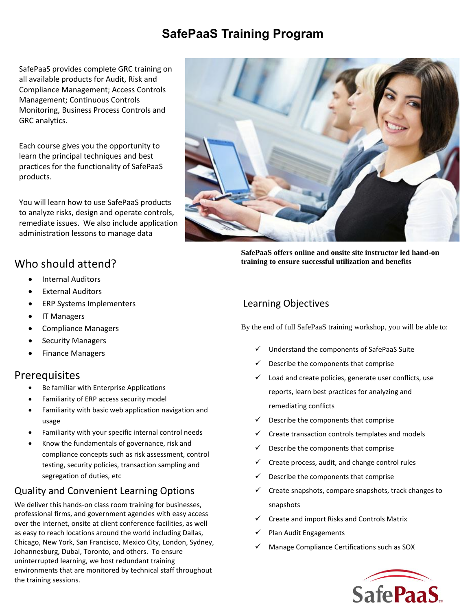# **SafePaaS Training Program**

SafePaaS provides complete GRC training on all available products for Audit, Risk and Compliance Management; Access Controls Management; Continuous Controls Monitoring, Business Process Controls and GRC analytics.

Each course gives you the opportunity to learn the principal techniques and best practices for the functionality of SafePaaS products.

You will learn how to use SafePaaS products to analyze risks, design and operate controls, remediate issues. We also include application administration lessons to manage data

## Who should attend?

- Internal Auditors
- **External Auditors**
- ERP Systems Implementers
- IT Managers
- Compliance Managers
- Security Managers
- Finance Managers

## **Prerequisites**

- Be familiar with Enterprise Applications
- Familiarity of ERP access security model
- Familiarity with basic web application navigation and usage
- Familiarity with your specific internal control needs
- Know the fundamentals of governance, risk and compliance concepts such as risk assessment, control testing, security policies, transaction sampling and segregation of duties, etc

# Quality and Convenient Learning Options

We deliver this hands-on class room training for businesses, professional firms, and government agencies with easy access over the internet, onsite at client conference facilities, as well as easy to reach locations around the world including Dallas, Chicago, New York, San Francisco, Mexico City, London, Sydney, Johannesburg, Dubai, Toronto, and others. To ensure uninterrupted learning, we host redundant training environments that are monitored by technical staff throughout the training sessions.



**SafePaaS offers online and onsite site instructor led hand-on training to ensure successful utilization and benefits**

## Learning Objectives

By the end of full SafePaaS training workshop, you will be able to:

- ✓ Understand the components of SafePaaS Suite
- Describe the components that comprise
- Load and create policies, generate user conflicts, use reports, learn best practices for analyzing and remediating conflicts
- Describe the components that comprise
- Create transaction controls templates and models
- $\checkmark$  Describe the components that comprise
- $\checkmark$  Create process, audit, and change control rules
- Describe the components that comprise
- Create snapshots, compare snapshots, track changes to snapshots
- ✓ Create and import Risks and Controls Matrix
- Plan Audit Engagements
- Manage Compliance Certifications such as SOX